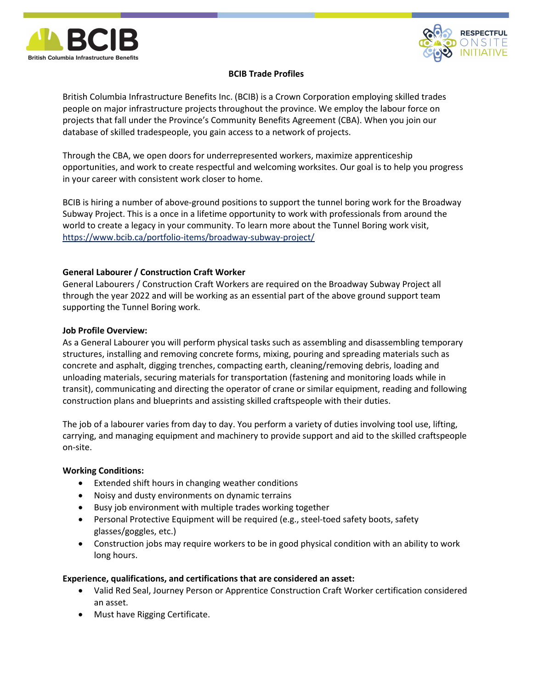



# BCIB Trade Profiles

British Columbia Infrastructure Benefits Inc. (BCIB) is a Crown Corporation employing skilled trades people on major infrastructure projects throughout the province. We employ the labour force on projects that fall under the Province's Community Benefits Agreement (CBA). When you join our database of skilled tradespeople, you gain access to a network of projects.

Through the CBA, we open doors for underrepresented workers, maximize apprenticeship opportunities, and work to create respectful and welcoming worksites. Our goal is to help you progress in your career with consistent work closer to home.

BCIB is hiring a number of above-ground positions to support the tunnel boring work for the Broadway Subway Project. This is a once in a lifetime opportunity to work with professionals from around the world to create a legacy in your community. To learn more about the Tunnel Boring work visit, https://www.bcib.ca/portfolio-items/broadway-subway-project/

# General Labourer / Construction Craft Worker

General Labourers / Construction Craft Workers are required on the Broadway Subway Project all through the year 2022 and will be working as an essential part of the above ground support team supporting the Tunnel Boring work.

### Job Profile Overview:

As a General Labourer you will perform physical tasks such as assembling and disassembling temporary structures, installing and removing concrete forms, mixing, pouring and spreading materials such as concrete and asphalt, digging trenches, compacting earth, cleaning/removing debris, loading and unloading materials, securing materials for transportation (fastening and monitoring loads while in transit), communicating and directing the operator of crane or similar equipment, reading and following construction plans and blueprints and assisting skilled craftspeople with their duties.

The job of a labourer varies from day to day. You perform a variety of duties involving tool use, lifting, carrying, and managing equipment and machinery to provide support and aid to the skilled craftspeople on-site.

## Working Conditions:

- Extended shift hours in changing weather conditions
- Noisy and dusty environments on dynamic terrains
- Busy job environment with multiple trades working together
- Personal Protective Equipment will be required (e.g., steel-toed safety boots, safety glasses/goggles, etc.)
- Construction jobs may require workers to be in good physical condition with an ability to work long hours.

## Experience, qualifications, and certifications that are considered an asset:

- Valid Red Seal, Journey Person or Apprentice Construction Craft Worker certification considered an asset.
- Must have Rigging Certificate.